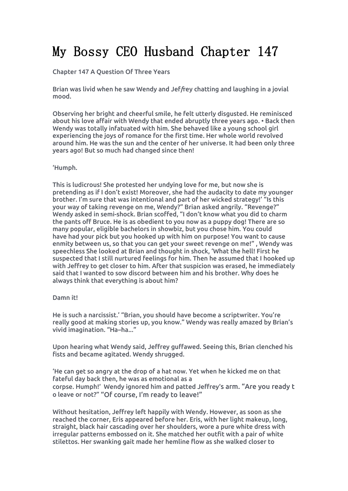# My Bossy CEO Husband Chapter 147

Chapter 147 A Question Of Three Years

Brian was livid when he saw Wendy and Jef*f*rey chatting and laughing in a jovial mood.

Observing her bright and cheerful smile, he felt utterly disgusted. He reminisced about his love affair with Wendy that ended abruptly three years ago. • Back then Wendy was totally infatuated with him. She behaved like a young school girl experiencing the joys of romance for the first time. Her whole world revolved around him. He was the sun and the center of her universe. It had been only three years ago! But so much had changed since then!

'Humph.

This is ludicrous! She protested her undying love for me, but now she is pretending as if I don't exist! Moreover, she had the audacity to date my younger brother. I'm sure that was intentional and part of her wicked strategy!' "Is this your way of taking revenge on me, Wendy?" Brian asked angrily. "Revenge?" Wendy asked in semi-shock. Brian scoffed, "I don't know what you did to charm the pants off Bruce. He is asobedient to you now as a puppy dog! There are so many popular, eligible bachelors in showbiz, but you chose him. You could have had your pick but you hooked up with him on purpose! You want to cause enmity between us, so that you can get your sweet revenge on me!", Wendy was speechless She looked at Brian and thought in shock, 'What the hell! First he suspected that I still nurtured feelings for him. Then he assumed that I hooked up with Jeffrey to get closer to him. After that suspicion was erased,he immediately said that I wanted to sow discord between him and his brother. Why does he always think that everything is about him?

### Damn it!

He is such a narcissist.' "Brian, you should have become a scriptwriter. You're really good at making stories up, you know." Wendy was really amazed by Brian's vivid imagination. "Ha–ha..."

Upon hearing what Wendy said, Jeffrey guffawed. Seeing this, Brian clenched his fists and became agitated. Wendy shrugged.

'He can get so angry at the drop of a hat now. Yet when he kicked me on that fateful day back then, he was as emotional as a corpse. Humph!' Wendy ignored him and patted Jeffrey's arm. "Are you ready t o leave or not?" "Of course, I'm ready to leave!"

Without hesitation, Jeffrey left happily with Wendy. However, as soon as she reached the corner, Eris appeared before her. Eris, with her light makeup, long, straight, black hair cascading over her shoulders, wore a pure white dress with irregular patterns embossed on it. She matched her outfit with a pair of white stilettos. Her swanking gait made her hemline flow as she walked closer to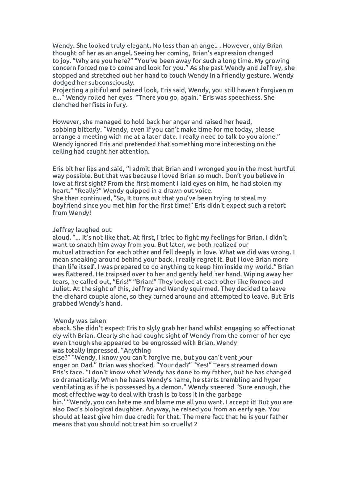Wendy. She looked truly elegant. No less than an angel. . However, only Brian thought of her as an angel. Seeing her coming, Brian's expression changed to joy. "Why are you here?" "You've been away for such a long time. My growing concern forced me to come and look for you." As she past Wendy and Jeffrey, she stopped and stretched out her hand to touch Wendy in a friendly gesture. Wendy dodged her subconsciously.

Projecting a pitiful and pained look, Eris said, Wendy, you still haven't forgiven m e..." Wendy rolled her eyes."There you go, again." Eris was speechless. She clenched her fists in fury.

However, she managed to hold back her anger and raised her head, sobbing bitterly. "Wendy, even if you can't make time for me today, please arrange ameeting with me at a later date.I really need to talk to you alone." Wendy ignored Eris and pretended that something more interesting on the ceiling had caught her attention.

Eris bit her lips and said, "I admit that Brian and I wronged you in the most hurtful way possible. But that was because I loved Brian so much. Don't you believe in love at first sight? From the first moment I laid eyes on him,he had stolen my heart." "Really?" Wendy quipped in a drawn out voice.

She then continued, "So, It turns out that you've been trying to steal my boyfriend since you met him for the first time!" Eris didn't expect such a retort from Wen*d*y!

### Jeffrey laughed out

aloud. "... It's not like that. At first, I tried to fight my feelings for Brian. I didn't want to snatch him away from you. But later, we both realized our mutual attraction for each other and fell deeply in love. What we did was wrong. I mean sneaking around behind your back. I really regret it. But I love Brian more than life itself. I was prepared to do anything to keep him inside my *w*orld." Brian was flattered. He traipsed over to her and gently held her hand. Wiping away her tears, he called out, "Eris!" "Brian!" They looked at each other like Romeo and Juliet. At the sight of this, Jeffrey and Wendy squirmed.They decided to leave the diehard couple alone, so they turned around and attempted to leave. But Eris grabbed Wendy's hand.

### Wendy was taken

aback. She didn't expect Eris to slyly grab her hand whilst engaging so affectionat ely with Brian. Clearly she had caught sight of Wendy from the corner of her e*v*e even though she appeared to be engrossed with Brian. Wendy was totally impressed. "Anything

else?" "Wendy, I know you can't forgive me, but you can't vent *y*our anger on Dad." Brian was shocked, "Your dad?" "Yes!" Tears streamed down Eris's face. "I don't know what Wendy has done to my father, but he has changed so dramatically. When he hears Wendy's name, he starts trembling and hyper ventilating as if he is possessed by a demon." Wendy sneered. 'Sure enough, the most effective way to deal with trash is to toss it in the garbage

bin.' "Wendy, you can hate me and blame me all you want. I accept it! But you are also Dad's biological daughter. Anyway, he raised you from an early age. You should at least give him due credit for that. The mere fact that he is your father means that you should not treat him so cruelly! 2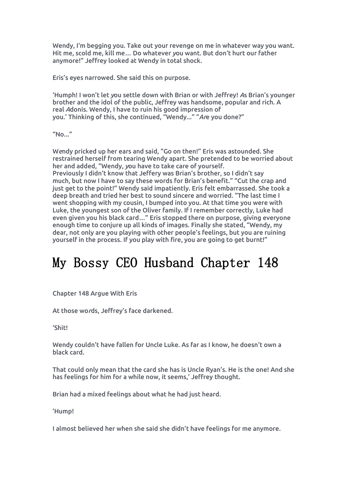Wendy, I'm begging you. Take out your revenge on me in whatever way you want. Hit me, scold me, kill me… Do whatever *y*ou want. But don't hurt our father anymore!" Jeffrey looked at Wendy in total shock.

Eris's eyes narrowed. She said this on purpose.

'Humph! I won't let *y*ou settle down with Brian or with Jeffrey! *A*s Brian's younger brother and the idol of the public, Jeffrey was handsome, popular and rich. A real *A*donis. Wendy, I have to ruin his good impression of you.' Thinking of this, she continued, "Wendy..." "*Ar*e you done?"

"No..."

W*e*ndy pricked up her ears and said, "Go on then!" Eris was astounded. She restrained herself from tearing Wendy apart. She pretended to be worried about her and added, "Wendy, *y*ou have to take care of yourself. Previously I didn't know that Jeffery was Brian's brother, so I didn't say much, but now I have to say these words for Brian's benefit." "Cut the crap and just get to the point!" Wendy said impatiently. Eris felt embarrassed. She took a deep breath and tried her best to sound sincere and worried. "The last time I went shopping with my cousin, I bumped into you. At that time you were with Luke, the youngest son of the Oliver family. If I remember correctly, Luke had even given you his black card..." Eris stopped there on purpose, giving everyone enough time to conjure up all kinds of images. Finally she stated, "Wendy, my dear, not only are you playing with other people's feelings, but you are ruining yourself in the process. If you play with fire, you are going to get burnt!"

## My Bossy CEO Husband Chapter 148

Chapter 148 Argue With Eris

At those wo*r*ds, Jeffrey's face darkened.

'Shit!

Wendy couldn't have fallen for Uncle Luke. As far as I know, he doesn't own a black card.

That could only mean that the card she has is Uncle Ryan's. He is the one! And she has feelings for him for a while now, it seems,' Jeffrey thought.

Brian had a mixed feelings about what he had just heard.

'Hump!

I almost believed her when she said she didn't have feelings for me anymore.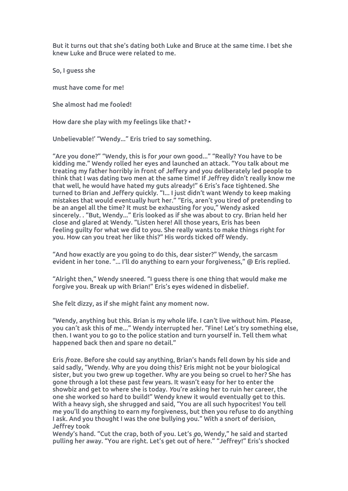But it turns out that she's dating both Luke and Bruce at the same time. I bet she knew Luke and Bruce were related to me.

So, I guess she

must have come for me!

She almost had me fooled!

How dare she play with my feelings like that? •

Unbelievable!' "Wendy..." Eris tried to say something.

"Are you done?" "Wendy, this is for *y*our own good..." "Really? You have to be kidding me." Wendy rolled her eyes and launched an attack. "You talk about me treating my father horribly in front of Jeffery and you deliberately led people to think that I was dating two men atthe same time! If Jeffrey didn't really know me that well, he would have hated my guts already!" 6 Eris's face tightened. She turned to Brian and Jeffery quickly. "I... I just didn't want Wendy to keep making mistakes that would eventually hurt her." "Eris, aren't you tired of pretending to be an angel all the time? It must be exhausting for you." Wendy asked sincerely. . "But, Wendy..." Eris looked as if she was about to cry. Brian held her close and glared at Wendy. "Listen here! All those years, Eris has been feeling guilty for what we did to you. She really wants to make things right for you. How can you treat her like this?" His words ticked off Wendy.

"And how exactly are you going to do this, dear sister?" Wendy, the sarcasm evident in her tone. "... I'll do anything to earn your forgiveness," @ Eris replied.

"Alright then," Wendy sneered. "I guess there is one thing that would make me forgive you. Break up with Brian!" Eris's eyes widened in disbelief.

She felt dizzy, as if she might faint any moment now.

"Wendy, anything but this. Brian is my whole life. I can't live without him. Please, you can't ask this of me..." Wendy interrupted her. "Fine! Let's try something else, then. I want you to go to the police station and turn yourself in. Tell them what happened back then and spare no detail."

Eris *f*roze. Before she could say anything, Brian's hands fell down by his side and said sadly, "Wendy. Why are you doing this? Eris might not be your biological sister, but you two grew up together. Why are you being so cruel to her? She has gone through a lot these past few years. It wasn't easy for her to enter the showbiz and get to where she is today. *Y*ou're asking her to ruin her career, the one she worked so hard to build!" Wendy knew it would eventually get to this. With a heavy sigh, she shrugged and said, "You are all such hypocrites! You tell me you'll do anything to earn my forgiveness, but then you refuse to do anything I ask. And you thought I was the one bullying you." With a snort of derision, Jeffrey took

Wendy's hand. "Cut the crap, both of you. Let's *g*o, Wendy," he said and started pulling her away. "You are right. Let's get out of here." "Jeffrey!" Eris's shocked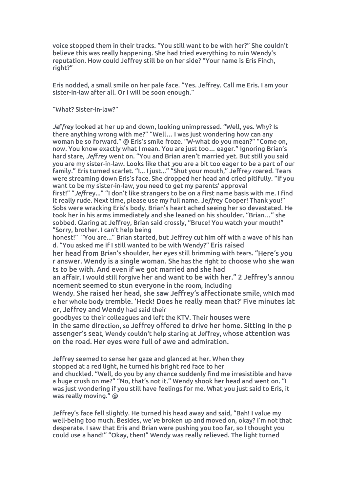voice stopped them in their tracks. "You still want to be with her?" She couldn't believe this was really happening. She had tried everything to ruin Wendy's reputation. How could Jeffrey still be on her side? "Your name is Eris Finch, right?"

Eris nodded, a small smile on her pale face. "Yes. Jeffrey. Call me Eris. I am your sister-in-law after all. Or I will be soon enough."

"What? Sister-in-law?"

*Je*f*fr*ey looked at her up and down, looking unimpressed. "Well, yes. Why? Is there anything wrong with me?" "Well… I was just wondering how can any woman be so forward." @ Eris's smile froze. "W-what do you mean?" "Come on, now*.* You know exactly what I mean. You are just too… eager." Ignoring Brian's hard stare, *Jef*f*r*ey went on. "You and Brian aren't married yet. But still you said you are my sister-in-law. Looks like that *y*ou are abit too eager to be a partof our family." Eris turned scarlet. "I... I just..." "Shut your mouth," Jeffre*y ro*ared. Tears were streaming down Eris's face. She dropped her head and cried pitifully. "If you want to be my sister-in-law, you need to get my parents' approval first!" "Jeffrey..." "I don't like strangers to be on a first name basis with me. I find it really rude. Next time, please use my full name. Je*ffr*ey Cooper! Thank you!" Sobs were wracking Eris's body. Brian's heart ached seeing her so devastated. He took her in his arms immediately and she leaned on his shoulder. "Brian…" she sobbed. Glaring at Jeffrey, Brian said crossly, "Bruce! You watch your mouth!"

"Sorry, brother. I can't help being

honest!" "You are..." Brian started, but Jeffrey cut him off with a wave of his han d. "You asked me if I still wanted to be with Wendy?" Eris raised

her head from Brian's shoulder, her eyes still brimming with tears. "Here's you r answer. Wendy is a single woman. She has the right to choose who she wan ts to be with. And even if we got married and she had

an affair, I would still forgive her and want to be with her." 2 Jeffrey's annou ncement seemed to stun everyone in the room, including

Wendy. She raised her head, she saw Jeffrey's affectionate smile, which mad e her whole body tremble. 'Heck! Does he really mean that?' Five minutes lat er, Jeffrey and Wendy had said their

goodbyes to their colleagues and left the KTV. Their houses were in the same direction, so Jeffrey offered to drive her home. Sitting in the p assenger's seat, Wendy couldn't help staring at Jeffrey, whose attention was on the road. Her eyes were full of awe and admiration.

Jeffrey seemed to sense her gaze and glanced at her. When they stopped at a red light, he turned his bright red face to her and chuckled. "Well, do you by any chance suddenly find me irresistible and have a huge crush on me?" "No, that's not it." Wendy shook her head and went on."I was just wondering if you still have feelings for me. What you just said to Eris, it was really moving." @

Jeffrey's face fell slightly. He turned his head away and said, "Bah! I value my well-being too much. Besides, we'*v*e broken up and moved on, okay? I'm not that desperate. I saw that Eris and Brian were pushing you too far, so I thought you could use a hand!" "Okay, then!" Wendy was really relieved. The light turned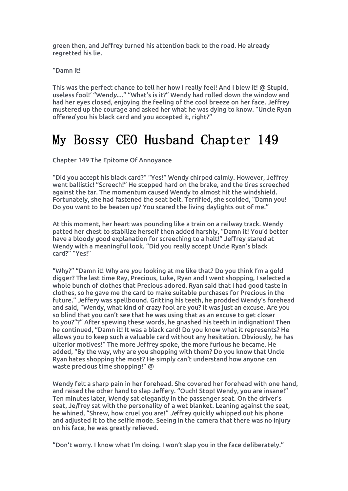green then, and Jeffrey turned his attention back to the road. He already regretted his lie.

"Damn it!

This was the perfect chance to tell her how I really feel! And I blew it! @ Stupid, useless fool!' "Wend*y.*..." "What's is it?" Wendy had rolled down the window and had her eyes closed, enjoying the feeling of the cool breeze on her face. Jeffrey mustered up the courage and asked her what he was dying to know. "Uncle Ryan offe*r*e*d* you his black card and you accepted it, right?"

### My Bossy CEO Husband Chapter 149

Chapter 149 The Epitome Of Annoyance

"Did you accept his black card?" "Yes!" Wendy chirped calmly. However, Jeffrey went ballistic! "Screech!" He stepped hard on the brake, and the tires screeched against the tar. The momentum caused Wendy to almost hit the windshield. Fortunately, she had fastened the seat belt. Terrified, she scolded, "Damn you! Do you want to be beaten up? You scared the living daylights out of me."

At this moment, her heart was pounding like a train on a railway track. Wendy patted her chest to stabilize herself then added harshly, "Damn it! You'd better have a bloody *g*ood explanation for screeching to a halt!" Jeffrey stared at Wendy with a meaningful look. "Did you really accept Uncle Ryan's black card?" "Yes!"

"Why?" "Damn it! Why are *y*ou looking at me like that? Do you think I'm a gold digger? The last time Ray, Precious, Luke, Ryan and I went shopping, I selected a whole bunch of clothes that Precious adored. Ryan said that I had good taste in clothes, so he gave me the card to make suitable purchases for Precious in the future." *J*effery was spellbound. Gritting his teeth, he prodded Wendy's forehead and said, "Wendy, what kind of crazy fool are you? It was just an excuse. Are you so blind that you can't see that he was using that as an excuse to get closer to you?"?" After spewing these words, he gnashed his teeth in indignation! Then he continued, "Damn it! It was a black card! Do you know what it represents? He allows you to keep such a valuable card without any hesitation. Obviously, he has ulterior motives!" The more Jeffrey spoke, the more furious he became. He added, "By the way, why are you shopping with them? Do you know that Uncle Ryan hates shopping the most? He simply can't understand how anyone can waste precious time shopping!" @

Wendy felt a sharp pain in her forehead. She covered her forehead with one hand, and raised the other hand to slap Jeffery. "Ouch! Stop! Wendy, you are insane!" Ten minutes later, Wendy sat elegantly in the passenger seat. On the driver's seat, Je*f*frey sat with the personality of a wet blanket. Leaning against the seat, he whined, "Shrew, how cruel you are!" *Je*ffrey quickly whipped out his phone and adjusted it to the selfie mode. Seeing in the camera that there was no injury on his face, he was greatly relieved.

"Don't worry. I know what I'm doing. I won't slap you in the face deliberately."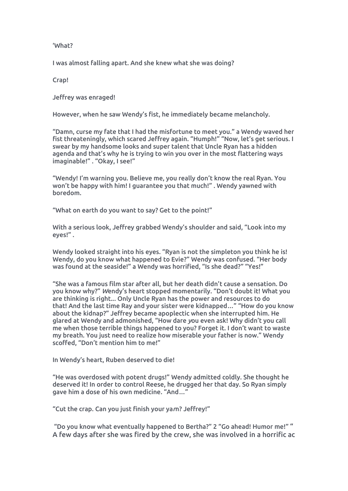### 'What?

I was almost falling apart. And she knew what she was doing?

Crap!

Jeffrey was enraged!

However, when he saw Wendy's fist, he immediately became melancholy.<br>"Damn, curse my fate that I had the misfortune to meet you." a Wendy waved her fist threateningly, which scared Jeffrey again. "Humph!" "Now, let's get serious. I swear by my handsome looks and super talent that Uncle Ryan has a hidden agenda and that's why he is trying to win you over in the most flattering ways imaginable!" . "Okay, I see!"

"Wendy! I'm warning you. Believe me, you really don't know the real Ryan. You won't be happy with him! I guarantee you that much!" . Wendy yawned with boredom.

"What on earth do you want to say? Get to the point!"

With a serious look, Jeffrey grabbed Wendy's shoulder and said, "Look into my eyes!" .

Wendy looked straight into his eyes. "Ryan is not the simpleton you think he is! Wendy, do you know what happened to Evie?" Wendy was confused. "Her body was found at the seaside!" a Wendy was horrified, "Is she dead?" "Yes!"

"She was a famous film star after all, but her death didn't cause asensation. Do you know why?" *W*endy's heart stopped momentarily. "Don't doubt it! What you are thinking is right... Only Uncle Ryan has the power and resources to do that! And the last time Ray and your sister were kidnapped…" "How do you know about the kidnap?" Jeffrey became apoplectic when she interrupted him. He glared at Wendy and admonished, "How dare *y*ou even ask! Why didn't you call me when those terrible things happened to you? Forget it. I don't want to waste my breath. You just need to realize how miserable your father is now." Wendy scoffed, "Don't mention him to me!"

In Wendy's heart, Ruben deserved to die!

"He was overdosed with potent drugs!" Wendy admitted coldly. She thought he deserved it! In order to control Reese, he drugged her that day. So Ryan simply gave him a dose of his own medicine. "And…"

"Cut the crap. Can you just finish your ya*r*n? Jeffrey!"

"Do you know what eventually happened to Bertha?" 2 "Go ahead! Humor me!" " A few daysafter she was fired by the crew, she was involved in a horrific ac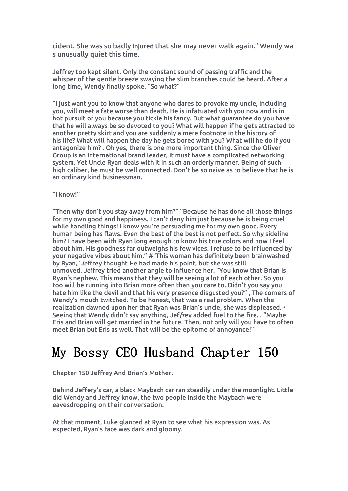cident. She was so badly injured that she may never walk again." Wendy wa s unusually quiet this time.

Jeffrey too kept silent. Only the constant sound of passing traffic and the whisper of the gentle breeze swaying the slim branches could be heard. After a long time, Wendy finally spoke. "So what?"

"I just want you to know that anyone who dares to provoke my uncle, including you, will meet a fate worse than death. He is infatuated with you now and is in hot pursuit of you because you tickle his fancy. But what guarantee do you have that he will always be so devoted to you? What will happen if he gets attracted to another pretty skirt and you are suddenly a mere footnote in the history of his life? What will happen the day he gets bored with you? What will he do if you antagonize him? . Oh yes, there is one more important thing. Since the Oliver Group is an international brand leader, it must have a complicated networking system. Yet Uncle Ryan deals with it in such an orderly manner. Being of such high caliber, he must be well connected. Don't be so naive as to believe that he is an ordinary kind businessman.

### "I know!"

"Then why don't you stay away from him?" "Because he has done all those things for my own good and happiness. I can't deny him just because he is being cruel while handling things! I know you're persuading me for my own good. Every human being has flaws. Even the best of the best is not perfect. So why sideline him? I have been with Ryan long enough to know his true colors and how I feel about him. His goodness far outweighs his few vices. I refuse to be influenced by your negative vibes about him." # 'This woman has definitely been brainwashed by Ryan, '*Je*ffrey thought He had made his point, but she was still unmoved. *Je*ffrey tried another angle to influence her. "You know that Brian is Ryan's nephew. This means that they will be seeing a lot of each other. So you too will be running into Brian more often than you care to. Didn't you say you hate him like the devil and that his very presence disgusted you?" , The corners of Wendy's mouth twitched. To be honest, that was a real problem. When the realization dawned upon her that Ryan was Brian's uncle, she was displeased. • Seeing that Wendy didn't say anything, Jef*fr*ey added fuel to the fire. . "Maybe Eris and Brian will get married in the future. Then, not only will you have to often meet Brian but Eris as well.That will be the epitome of annoyance!"

### My Bossy CEO Husband Chapter 150

### Chapter 150 Jeffrey And Brian's Mother.

Behind Jeffery's car, a black Maybach car ran steadily under the moonlight. Little did Wendy and Jeffrey know, the two people inside the Maybach were eavesdropping on their conversation.

At that moment, Luke glanced at Ryan to see what his expression was. As expected, Ryan's face was dark and gloomy.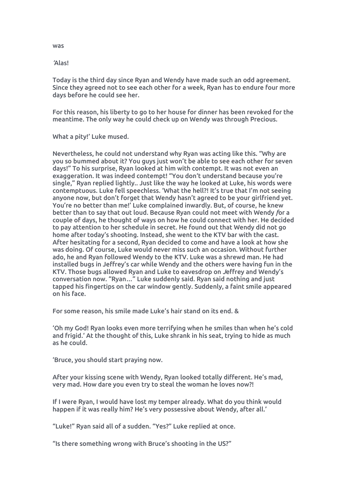Today is the third day since Ryan and Wendy have made such an odd agreement. Since they agreed not to see each other for a week, Ryan has to endure four more days before he could see her.

For this reason, his liberty to go to her house for dinner has been revoked for the meantime. The only way he could check up on Wendy was through Precious.

What a pity!' Luke mused.

Nevertheless, he could not understand why Ryan was acting like this. "Why are you so bummed about it? You guysjust won't be able to see each other for seven days!" To his surprise, Ryan looked at him with contempt. It was not even an exaggeration. It was indeed contempt! "You don't understand because you're single," Ryan replied lightly.. Just like the way he looked at Luke, his words were contemptuous. Luke fell speechless. 'What the hell?! It's true that I'm not seeing anyone now, but don't forget that Wendy hasn't agreed to be your girlfriend yet. You're no better than me!' Luke complained inwardly. But, of course, he knew better than to say that out loud. Because Ryan could not meet with Wendy *f*or a couple of days, he thought of ways on how he could connect with her. He decided to pay attention to her schedule in secret. He found out that Wendy did not go home after today's shooting. Instead, she went to the KTV bar with the cast. After hesitating for a second, Ryan decided to come and have a look at how she was doing. Of course, Luke would never miss such an occasion. Without further ado, he and Ryan followed Wendy to the KTV. Luke was a shrewd man. He had installed bugs in Jeffrey's car while Wendy and the others were having fun in the KTV. Those bugs allowed Ryan and Luke to eavesdrop on *J*effrey and Wendy's conversation now. "Ryan…" Luke suddenly said. Ryan said nothing and just tapped his fingertips on the car window gently. Suddenly, a faint smile appeared on his face.

For some reason, his smile made Luke's hair stand on its end. &

'Oh my God! Ryan looks even more terrifying when he smiles than when he's cold and frigid.' At the thought of this, Luke shrank in his seat, trying to hide as much as he could.

'Bruce, you should start praying now.

After your kissing scene with Wendy, Ryan looked totally different. He's mad, very mad. How dare you even try to steal the woman he loves now?!

If I were Ryan, I would have lost my temper already. What do you think would happen if it was really him? He's very possessive about Wendy, after all.'

"Luke!" Ryan said all of a sudden. "Yes?" Luke replied at once.

"Is there something wrong with Bruce's shooting in the US?"

was

*'*Alas!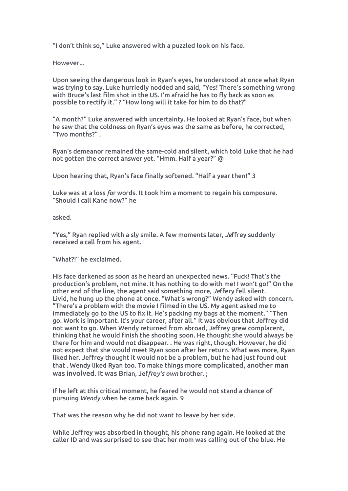"I don't think so," Luke answered with <sup>a</sup> puzzled look on his face.However..*.*

Upon seeing the dangerous look in Ryan's eyes, he understood at once what Ryan was trying to say. Luke hurriedly nodded and said, "Yes! There's something wrong with Bruce's last film shot in the US. I'm afraid he has to fly back as soon as possible to rectify it." ? "How long will it take for him to do that?"

"A month?" Luke answered with uncertainty. He looked at Ryan's face, but when he saw that the coldness on Ryan's eyes was the same as before, he corrected, "Two months?" .

Ryan's demeanor remained the same-cold and silent, which told Luke that he had not gotten the correct answer yet. "Hmm. Half a year?" @

Upon hearing that, Ryan's face finally softened. "Half a year then!" 3

Luke was at a loss *fo*r words. It took him a moment to regain his composure. "Should I call Kane now?" he

asked.

"Yes," Ryan replied with a sly smile. A few moments later, *Je*ffrey suddenly received a call from his agent.

"What?!" he exclaimed.

His face darkened as soon as he heard an unexpected news. "Fuck! That's the production's problem, not mine. It has nothing to do with me! I won't go!" On the other end of the line, the agent said something more, *Jeffery fell silent*. Livid, he hung up the phone at once. "What's wrong?" Wendy asked with concern. "There's a problem with the movie I filmed in the US. My agent asked me to immediately go to the US to fix it. He's packing my bags at the moment." "Then go. Work is important. It's your career, after all." It was obvious that Jeffrey did not want to go. When Wendy returned from abroad,*Je*ffrey grew complacent, thinking that he would finish the shooting soon. He thought she would always be there for him and would not disappear. . He was right, though. However, he did not expect that she would meet Ryan soon after her return. What was more, Ryan liked her. Jeffrey thought it would not be a problem, but he had just found out that . Wendy liked Ryan too. To make things more complicated, another man was involved. It was Brian, Jef*fr*e*y's own* brother. ;

If he left at this critical moment, he feared he would not stand a chance of pursuing *Wendy w*hen he came back again. 9

That was the reason why he did not want to leave by her side.

While Jeffrey was absorbed in thought, his phone rang again. He looked at the caller ID and was surprised to see that her mom was callingout of the blue. He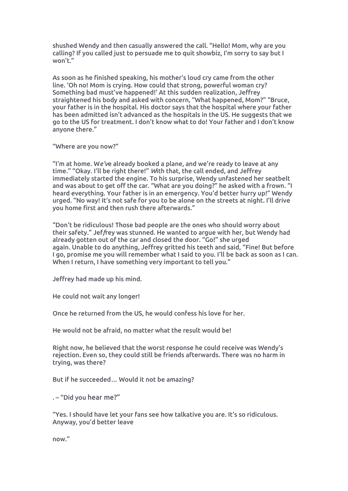shushed Wendy and then casually answered the call. "Hello! Mom, why are you calling? If you called just to persuade me to quit showbiz, I'm sorry to say but I won't."

As soon as he finished speaking, his mother's loud cry came from the other line. 'Oh no! Mom is crying. How could that strong, powerful woman cry? Something bad must've happened!' At this sudden realization, Jeffrey straightened his body and asked with concern, "What happened, Mom?" "Bruce, your father is in the hospital. His doctor says that the hospital where your father has been admitted isn't advanced as the hospitals in the US. He suggests that we go to the US for treatment. I don't know what to do! Your father and I don't know anyone there."

"Where are you now?"

"I'm at home. W*e'v*e already booked a plane, and we're ready to leave at any time." "Okay. I'll be right there!" *W*ith that, the call ended, and Jeffrey immediately started the engine. To his surprise, Wendy unfastened her seatbelt and was about to get off the car. "What are you doing?" he asked with a frown."I heard everything. Your father is in an emergency. You'd better hurry up!" Wendy urged. "No way! It's not safe for you to be alone on the streets at night. I'll drive you home first and then rush there afterwards."

"Don't be ridiculous!Those bad people are the ones who should worry about their safety." Jef*f*rey was stunned. He wanted to argue with her, but Wendy had already gotten out of the car and closed the door. "Go!" she urged again. Unable to do anything, Jeffrey gritted his teeth and said, "Fine! But before I go, promise me you will remember what I said to you. I'll be back as soon as I can. When I return, I have something very important to tell you."

Jeffrey had made up his mind.<br>He could not wait any longer!

Once he returned from the US, he would confess his love for her.

He would not be afraid, no matter what the result would be!

Right now, he believed that the worst response he could receive was Wendy's rejection. Even so, they could still be friends afterwards. There was no harm in trying, was there?

But if he succeeded… Would it not be amazing?

. – "Did you hear me?"

"Yes. I should have let your fans see how talkative you are. It's so ridiculous. Anyway, you'd better leave

now."